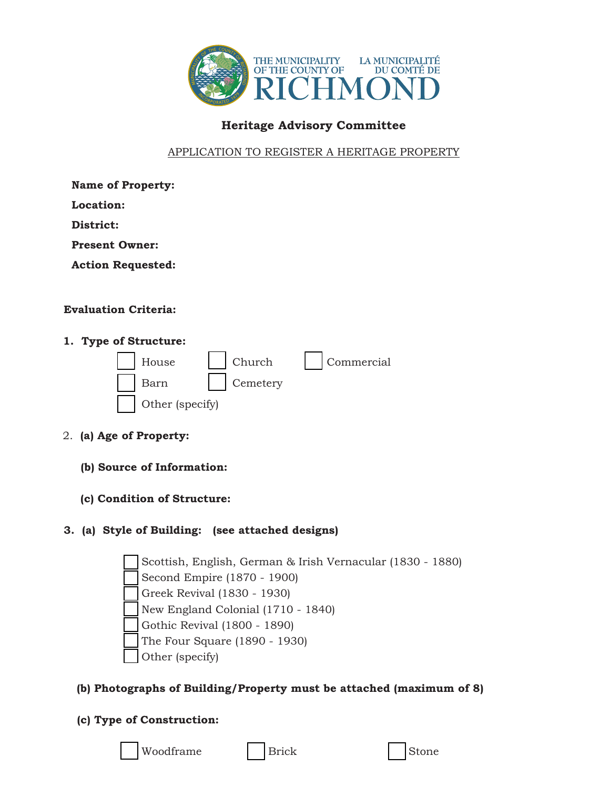

# **Heritage Advisory Committee**

### APPLICATION TO REGISTER A HERITAGE PROPERTY

**Name of Property:**

**Location:**

**District:**

**Present Owner:**

**Action Requested:**

### **Evaluation Criteria:**

### **1. Type of Structure:**

| $\vert$ House   | $\vert$ Church | Commercial |
|-----------------|----------------|------------|
| Barn            | Cemetery       |            |
| Other (specify) |                |            |

- 2. **(a) Age of Property:**
	- **(b) Source of Information:**
	- **(c) Condition of Structure:**

### **3. (a) Style of Building: (see attached designs)**

Scottish, English, German & Irish Vernacular (1830 - 1880) Second Empire (1870 - 1900) Greek Revival (1830 - 1930) New England Colonial (1710 - 1840) Gothic Revival (1800 - 1890) The Four Square (1890 - 1930) Other (specify)

## **(b) Photographs of Building/Property must be attached (maximum of 8)**

## **(c) Type of Construction:**

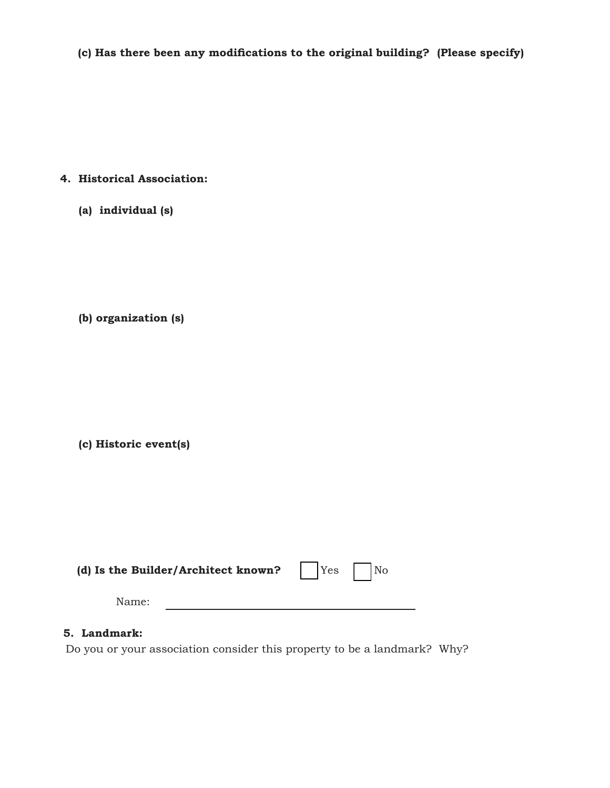(c) Has there been any modifications to the original building? (Please specify)

### **4. Historical Association:**

 **(a) individual (s)**

 **(b) organization (s)**

 **(c) Historic event(s)**

| (d) Is the Builder/Architect known? $Yes$ No |  |
|----------------------------------------------|--|
| Name:                                        |  |

### **5. Landmark:**

Do you or your association consider this property to be a landmark? Why?